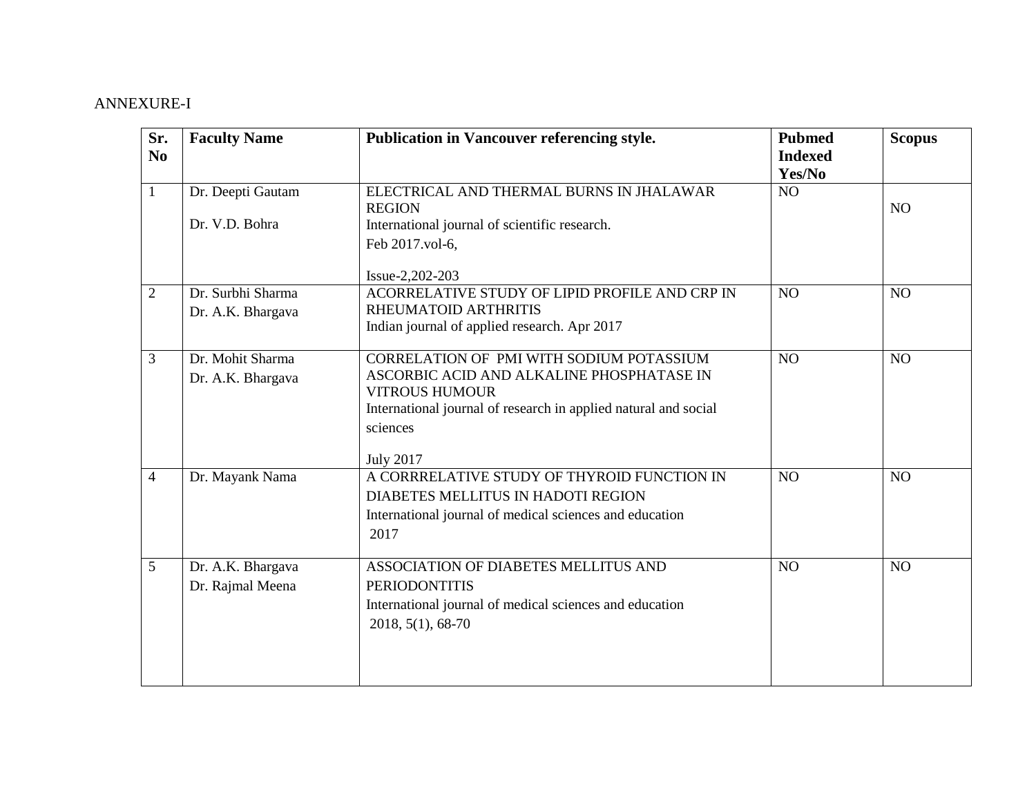## ANNEXURE-I

| Sr.<br>N <sub>0</sub> | <b>Faculty Name</b>                    | Publication in Vancouver referencing style.                                                                                                                                                                       | <b>Pubmed</b><br><b>Indexed</b><br>Yes/No | <b>Scopus</b>   |
|-----------------------|----------------------------------------|-------------------------------------------------------------------------------------------------------------------------------------------------------------------------------------------------------------------|-------------------------------------------|-----------------|
| $\mathbf{1}$          | Dr. Deepti Gautam<br>Dr. V.D. Bohra    | ELECTRICAL AND THERMAL BURNS IN JHALAWAR<br><b>REGION</b><br>International journal of scientific research.<br>Feb 2017.vol-6.                                                                                     | NO                                        | NO              |
| $\overline{2}$        | Dr. Surbhi Sharma<br>Dr. A.K. Bhargava | Issue-2,202-203<br>ACORRELATIVE STUDY OF LIPID PROFILE AND CRP IN<br>RHEUMATOID ARTHRITIS<br>Indian journal of applied research. Apr 2017                                                                         | N <sub>O</sub>                            | NO              |
| 3                     | Dr. Mohit Sharma<br>Dr. A.K. Bhargava  | CORRELATION OF PMI WITH SODIUM POTASSIUM<br>ASCORBIC ACID AND ALKALINE PHOSPHATASE IN<br><b>VITROUS HUMOUR</b><br>International journal of research in applied natural and social<br>sciences<br><b>July 2017</b> | NO                                        | NO              |
| $\overline{4}$        | Dr. Mayank Nama                        | A CORRRELATIVE STUDY OF THYROID FUNCTION IN<br>DIABETES MELLITUS IN HADOTI REGION<br>International journal of medical sciences and education<br>2017                                                              | N <sub>O</sub>                            | NO <sub>1</sub> |
| $5\overline{)}$       | Dr. A.K. Bhargava<br>Dr. Rajmal Meena  | ASSOCIATION OF DIABETES MELLITUS AND<br><b>PERIODONTITIS</b><br>International journal of medical sciences and education<br>2018, 5(1), 68-70                                                                      | NO                                        | NO              |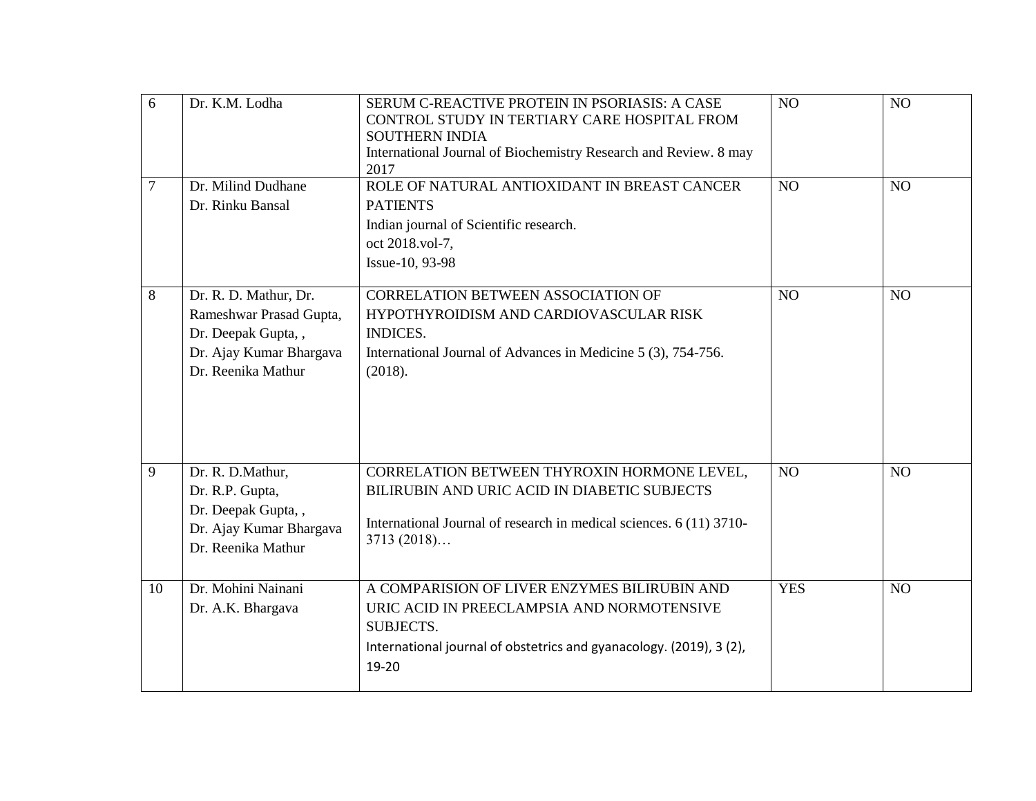| 6      | Dr. K.M. Lodha                                                                                                          | SERUM C-REACTIVE PROTEIN IN PSORIASIS: A CASE<br>CONTROL STUDY IN TERTIARY CARE HOSPITAL FROM<br><b>SOUTHERN INDIA</b><br>International Journal of Biochemistry Research and Review. 8 may<br>2017 | N <sub>O</sub> | NO |
|--------|-------------------------------------------------------------------------------------------------------------------------|----------------------------------------------------------------------------------------------------------------------------------------------------------------------------------------------------|----------------|----|
| $\tau$ | Dr. Milind Dudhane<br>Dr. Rinku Bansal                                                                                  | ROLE OF NATURAL ANTIOXIDANT IN BREAST CANCER<br><b>PATIENTS</b><br>Indian journal of Scientific research.<br>oct 2018.vol-7,<br>Issue-10, 93-98                                                    | NO             | NO |
| 8      | Dr. R. D. Mathur, Dr.<br>Rameshwar Prasad Gupta,<br>Dr. Deepak Gupta,,<br>Dr. Ajay Kumar Bhargava<br>Dr. Reenika Mathur | <b>CORRELATION BETWEEN ASSOCIATION OF</b><br>HYPOTHYROIDISM AND CARDIOVASCULAR RISK<br><b>INDICES.</b><br>International Journal of Advances in Medicine 5 (3), 754-756.<br>(2018).                 | NO             | NO |
| 9      | Dr. R. D.Mathur,<br>Dr. R.P. Gupta,<br>Dr. Deepak Gupta,,<br>Dr. Ajay Kumar Bhargava<br>Dr. Reenika Mathur              | CORRELATION BETWEEN THYROXIN HORMONE LEVEL,<br>BILIRUBIN AND URIC ACID IN DIABETIC SUBJECTS<br>International Journal of research in medical sciences. 6 (11) 3710-<br>3713(2018)                   | NO             | NO |
| 10     | Dr. Mohini Nainani<br>Dr. A.K. Bhargava                                                                                 | A COMPARISION OF LIVER ENZYMES BILIRUBIN AND<br>URIC ACID IN PREECLAMPSIA AND NORMOTENSIVE<br>SUBJECTS.<br>International journal of obstetrics and gyanacology. (2019), 3 (2),<br>19-20            | <b>YES</b>     | NO |